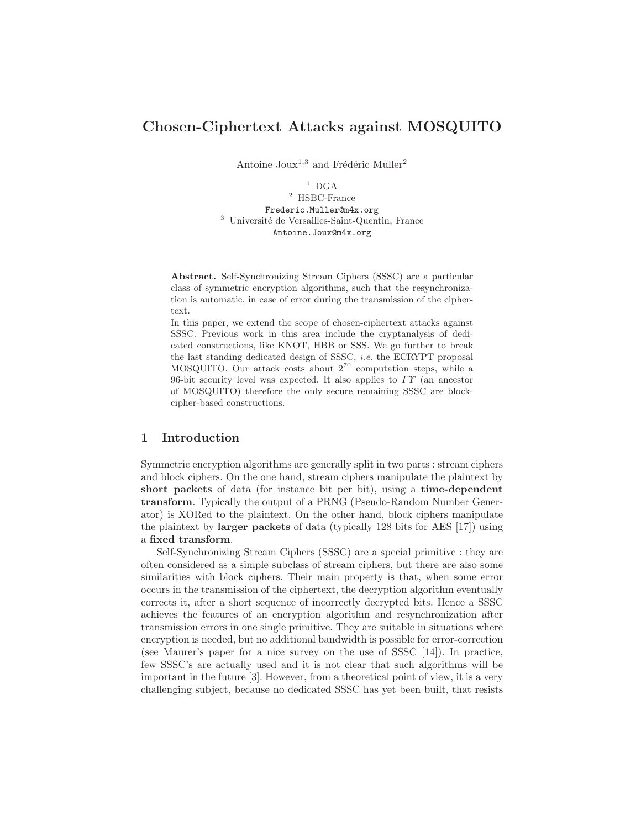# Chosen-Ciphertext Attacks against MOSQUITO

Antoine  $J$ oux<sup>1,3</sup> and Frédéric Muller<sup>2</sup>

 $1$  DGA  $^{\rm 2}$  HSBC-France Frederic.Muller@m4x.org  $^3\,$ Université de Versailles-Saint-Quentin, France Antoine.Joux@m4x.org

Abstract. Self-Synchronizing Stream Ciphers (SSSC) are a particular class of symmetric encryption algorithms, such that the resynchronization is automatic, in case of error during the transmission of the ciphertext.

In this paper, we extend the scope of chosen-ciphertext attacks against SSSC. Previous work in this area include the cryptanalysis of dedicated constructions, like KNOT, HBB or SSS. We go further to break the last standing dedicated design of SSSC,  $i.e.$  the ECRYPT proposal MOSQUITO. Our attack costs about  $2^{70}$  computation steps, while a 96-bit security level was expected. It also applies to  $\Gamma\Upsilon$  (an ancestor of MOSQUITO) therefore the only secure remaining SSSC are blockcipher-based constructions.

# 1 Introduction

Symmetric encryption algorithms are generally split in two parts : stream ciphers and block ciphers. On the one hand, stream ciphers manipulate the plaintext by short packets of data (for instance bit per bit), using a time-dependent transform. Typically the output of a PRNG (Pseudo-Random Number Generator) is XORed to the plaintext. On the other hand, block ciphers manipulate the plaintext by larger packets of data (typically 128 bits for AES [17]) using a fixed transform.

Self-Synchronizing Stream Ciphers (SSSC) are a special primitive : they are often considered as a simple subclass of stream ciphers, but there are also some similarities with block ciphers. Their main property is that, when some error occurs in the transmission of the ciphertext, the decryption algorithm eventually corrects it, after a short sequence of incorrectly decrypted bits. Hence a SSSC achieves the features of an encryption algorithm and resynchronization after transmission errors in one single primitive. They are suitable in situations where encryption is needed, but no additional bandwidth is possible for error-correction (see Maurer's paper for a nice survey on the use of SSSC [14]). In practice, few SSSC's are actually used and it is not clear that such algorithms will be important in the future [3]. However, from a theoretical point of view, it is a very challenging subject, because no dedicated SSSC has yet been built, that resists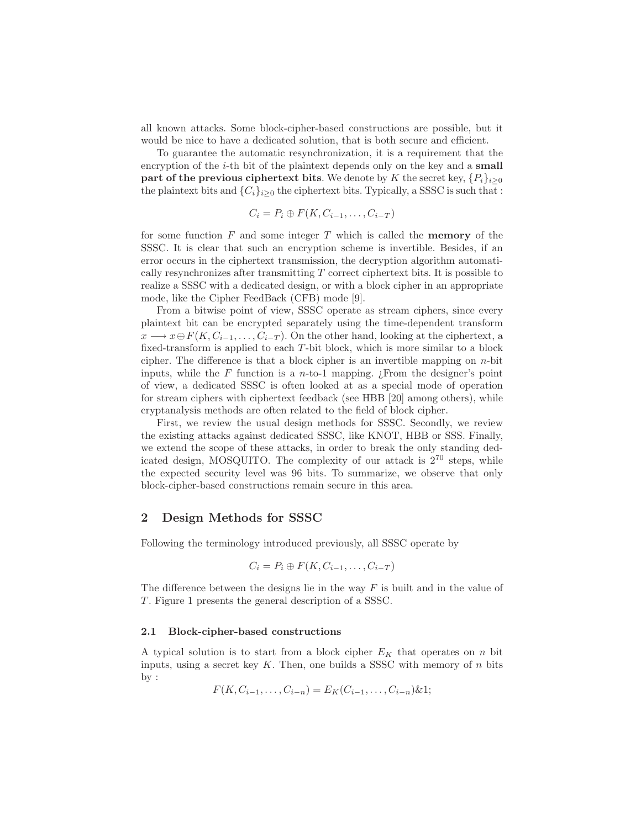all known attacks. Some block-cipher-based constructions are possible, but it would be nice to have a dedicated solution, that is both secure and efficient.

To guarantee the automatic resynchronization, it is a requirement that the encryption of the *i*-th bit of the plaintext depends only on the key and a **small** part of the previous ciphertext bits. We denote by K the secret key,  $\{P_i\}_{i\geq 0}$ the plaintext bits and  ${C_i}_{i>0}$  the ciphertext bits. Typically, a SSSC is such that :

$$
C_i = P_i \oplus F(K, C_{i-1}, \dots, C_{i-T})
$$

for some function  $F$  and some integer  $T$  which is called the **memory** of the SSSC. It is clear that such an encryption scheme is invertible. Besides, if an error occurs in the ciphertext transmission, the decryption algorithm automatically resynchronizes after transmitting T correct ciphertext bits. It is possible to realize a SSSC with a dedicated design, or with a block cipher in an appropriate mode, like the Cipher FeedBack (CFB) mode [9].

From a bitwise point of view, SSSC operate as stream ciphers, since every plaintext bit can be encrypted separately using the time-dependent transform  $x \longrightarrow x \oplus F(K, C_{i-1}, \ldots, C_{i-T})$ . On the other hand, looking at the ciphertext, a fixed-transform is applied to each  $T$ -bit block, which is more similar to a block cipher. The difference is that a block cipher is an invertible mapping on  $n$ -bit inputs, while the F function is a n-to-1 mapping.  $\chi$ From the designer's point of view, a dedicated SSSC is often looked at as a special mode of operation for stream ciphers with ciphertext feedback (see HBB [20] among others), while cryptanalysis methods are often related to the field of block cipher.

First, we review the usual design methods for SSSC. Secondly, we review the existing attacks against dedicated SSSC, like KNOT, HBB or SSS. Finally, we extend the scope of these attacks, in order to break the only standing dedicated design, MOSQUITO. The complexity of our attack is  $2^{70}$  steps, while the expected security level was 96 bits. To summarize, we observe that only block-cipher-based constructions remain secure in this area.

### 2 Design Methods for SSSC

Following the terminology introduced previously, all SSSC operate by

$$
C_i = P_i \oplus F(K, C_{i-1}, \dots, C_{i-T})
$$

The difference between the designs lie in the way  $F$  is built and in the value of T. Figure 1 presents the general description of a SSSC.

#### 2.1 Block-cipher-based constructions

A typical solution is to start from a block cipher  $E_K$  that operates on n bit inputs, using a secret key K. Then, one builds a SSSC with memory of  $n$  bits by :

$$
F(K, C_{i-1}, \ldots, C_{i-n}) = E_K(C_{i-1}, \ldots, C_{i-n}) \& 1;
$$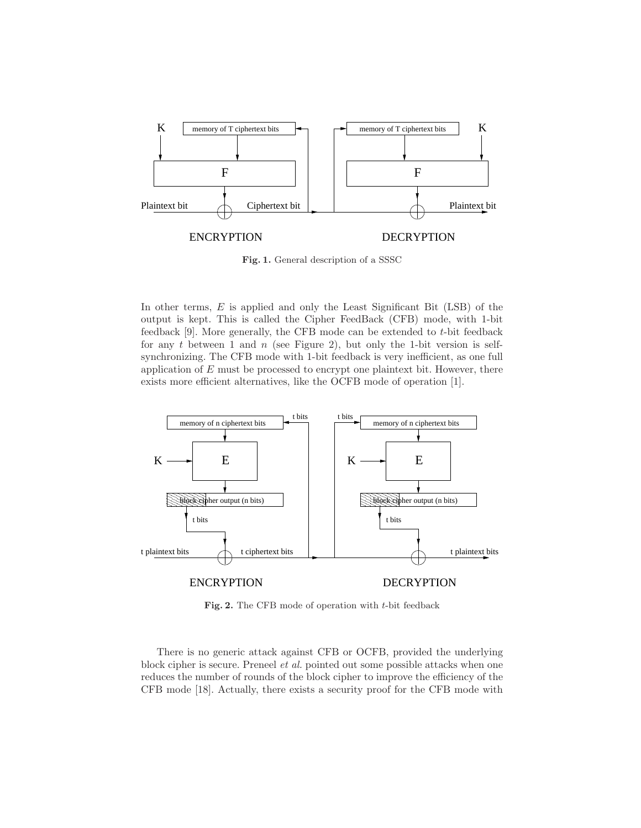

Fig. 1. General description of a SSSC

In other terms,  $E$  is applied and only the Least Significant Bit (LSB) of the output is kept. This is called the Cipher FeedBack (CFB) mode, with 1-bit feedback [9]. More generally, the CFB mode can be extended to t-bit feedback for any t between 1 and  $n$  (see Figure 2), but only the 1-bit version is selfsynchronizing. The CFB mode with 1-bit feedback is very inefficient, as one full application of  $E$  must be processed to encrypt one plaintext bit. However, there exists more efficient alternatives, like the OCFB mode of operation [1].



Fig. 2. The CFB mode of operation with t-bit feedback

There is no generic attack against CFB or OCFB, provided the underlying block cipher is secure. Preneel et al. pointed out some possible attacks when one reduces the number of rounds of the block cipher to improve the efficiency of the CFB mode [18]. Actually, there exists a security proof for the CFB mode with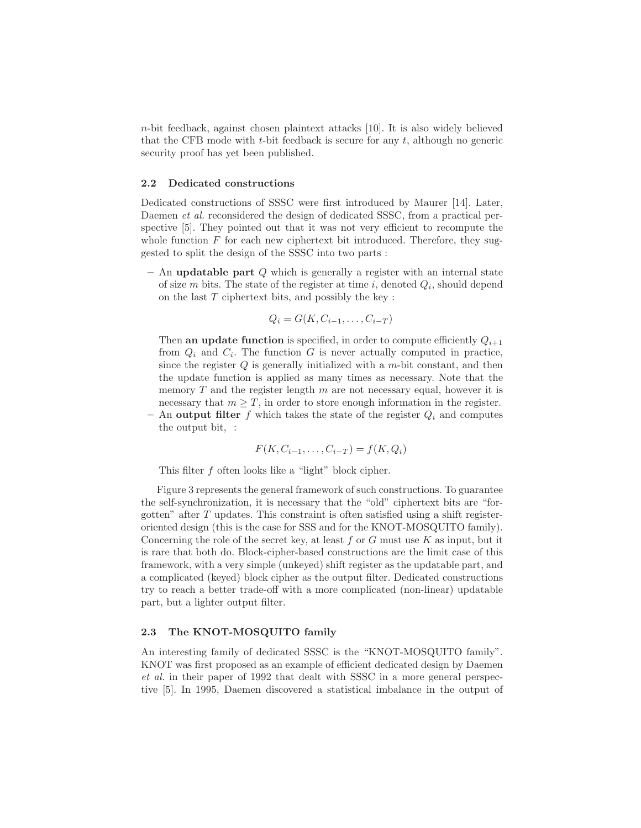n-bit feedback, against chosen plaintext attacks [10]. It is also widely believed that the CFB mode with  $t$ -bit feedback is secure for any  $t$ , although no generic security proof has yet been published.

### 2.2 Dedicated constructions

Dedicated constructions of SSSC were first introduced by Maurer [14]. Later, Daemen et al. reconsidered the design of dedicated SSSC, from a practical perspective [5]. They pointed out that it was not very efficient to recompute the whole function  $F$  for each new ciphertext bit introduced. Therefore, they suggested to split the design of the SSSC into two parts :

 $-$  An updatable part  $Q$  which is generally a register with an internal state of size m bits. The state of the register at time i, denoted  $Q_i$ , should depend on the last  $T$  ciphertext bits, and possibly the key :

$$
Q_i = G(K, C_{i-1}, \dots, C_{i-T})
$$

Then an update function is specified, in order to compute efficiently  $Q_{i+1}$ from  $Q_i$  and  $C_i$ . The function G is never actually computed in practice, since the register  $Q$  is generally initialized with a  $m$ -bit constant, and then the update function is applied as many times as necessary. Note that the memory  $T$  and the register length  $m$  are not necessary equal, however it is necessary that  $m \geq T$ , in order to store enough information in the register. An output filter f which takes the state of the register  $Q_i$  and computes the output bit, :

$$
F(K, C_{i-1}, \ldots, C_{i-T}) = f(K, Q_i)
$$

This filter f often looks like a "light" block cipher.

Figure 3 represents the general framework of such constructions. To guarantee the self-synchronization, it is necessary that the "old" ciphertext bits are "forgotten" after  $T$  updates. This constraint is often satisfied using a shift registeroriented design (this is the case for SSS and for the KNOT-MOSQUITO family). Concerning the role of the secret key, at least  $f$  or  $G$  must use  $K$  as input, but it is rare that both do. Block-cipher-based constructions are the limit case of this framework, with a very simple (unkeyed) shift register as the updatable part, and a complicated (keyed) block cipher as the output filter. Dedicated constructions try to reach a better trade-off with a more complicated (non-linear) updatable part, but a lighter output filter.

# 2.3 The KNOT-MOSQUITO family

An interesting family of dedicated SSSC is the "KNOT-MOSQUITO family". KNOT was first proposed as an example of efficient dedicated design by Daemen et al. in their paper of 1992 that dealt with SSSC in a more general perspective [5]. In 1995, Daemen discovered a statistical imbalance in the output of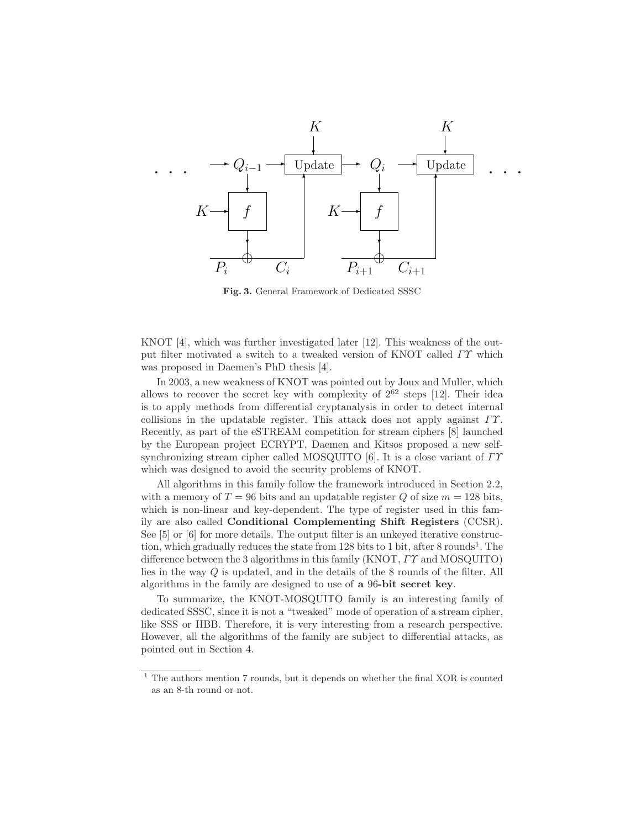

Fig. 3. General Framework of Dedicated SSSC

KNOT [4], which was further investigated later [12]. This weakness of the output filter motivated a switch to a tweaked version of KNOT called  $\Gamma\Upsilon$  which was proposed in Daemen's PhD thesis [4].

In 2003, a new weakness of KNOT was pointed out by Joux and Muller, which allows to recover the secret key with complexity of  $2^{62}$  steps [12]. Their idea is to apply methods from differential cryptanalysis in order to detect internal collisions in the updatable register. This attack does not apply against  $\Gamma \Upsilon$ . Recently, as part of the eSTREAM competition for stream ciphers [8] launched by the European project ECRYPT, Daemen and Kitsos proposed a new selfsynchronizing stream cipher called MOSQUITO [6]. It is a close variant of  $\Gamma\Upsilon$ which was designed to avoid the security problems of KNOT.

All algorithms in this family follow the framework introduced in Section 2.2, with a memory of  $T = 96$  bits and an updatable register Q of size  $m = 128$  bits, which is non-linear and key-dependent. The type of register used in this family are also called Conditional Complementing Shift Registers (CCSR). See [5] or [6] for more details. The output filter is an unkeyed iterative construction, which gradually reduces the state from 128 bits to 1 bit, after 8 rounds<sup>1</sup>. The difference between the 3 algorithms in this family (KNOT,  $\Gamma\Upsilon$  and MOSQUITO) lies in the way Q is updated, and in the details of the 8 rounds of the filter. All algorithms in the family are designed to use of a 96-bit secret key.

To summarize, the KNOT-MOSQUITO family is an interesting family of dedicated SSSC, since it is not a "tweaked" mode of operation of a stream cipher, like SSS or HBB. Therefore, it is very interesting from a research perspective. However, all the algorithms of the family are subject to differential attacks, as pointed out in Section 4.

 $1$  The authors mention 7 rounds, but it depends on whether the final XOR is counted as an 8-th round or not.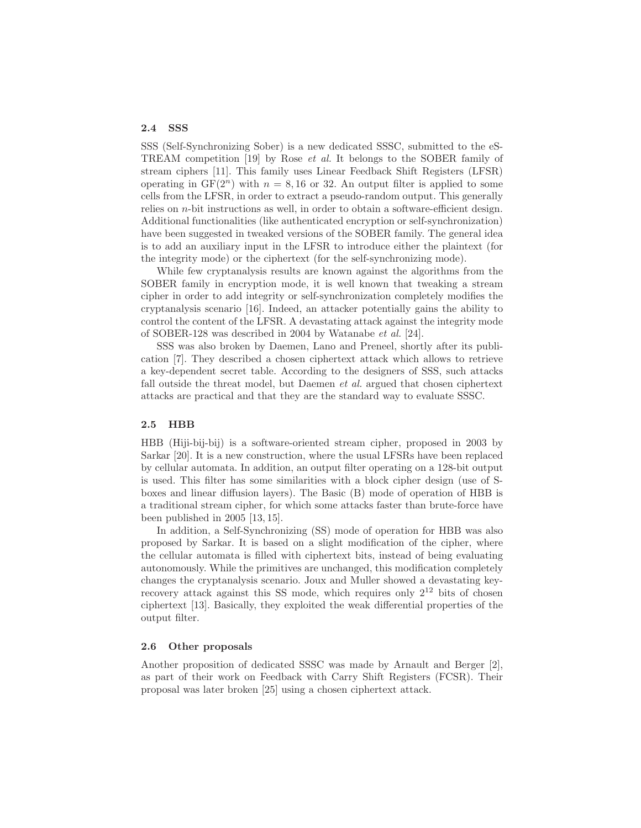### 2.4 SSS

SSS (Self-Synchronizing Sober) is a new dedicated SSSC, submitted to the eS-TREAM competition [19] by Rose et al. It belongs to the SOBER family of stream ciphers [11]. This family uses Linear Feedback Shift Registers (LFSR) operating in  $GF(2^n)$  with  $n = 8, 16$  or 32. An output filter is applied to some cells from the LFSR, in order to extract a pseudo-random output. This generally relies on n-bit instructions as well, in order to obtain a software-efficient design. Additional functionalities (like authenticated encryption or self-synchronization) have been suggested in tweaked versions of the SOBER family. The general idea is to add an auxiliary input in the LFSR to introduce either the plaintext (for the integrity mode) or the ciphertext (for the self-synchronizing mode).

While few cryptanalysis results are known against the algorithms from the SOBER family in encryption mode, it is well known that tweaking a stream cipher in order to add integrity or self-synchronization completely modifies the cryptanalysis scenario [16]. Indeed, an attacker potentially gains the ability to control the content of the LFSR. A devastating attack against the integrity mode of SOBER-128 was described in 2004 by Watanabe et al. [24].

SSS was also broken by Daemen, Lano and Preneel, shortly after its publication [7]. They described a chosen ciphertext attack which allows to retrieve a key-dependent secret table. According to the designers of SSS, such attacks fall outside the threat model, but Daemen et al. argued that chosen ciphertext attacks are practical and that they are the standard way to evaluate SSSC.

### 2.5 HBB

HBB (Hiji-bij-bij) is a software-oriented stream cipher, proposed in 2003 by Sarkar [20]. It is a new construction, where the usual LFSRs have been replaced by cellular automata. In addition, an output filter operating on a 128-bit output is used. This filter has some similarities with a block cipher design (use of Sboxes and linear diffusion layers). The Basic (B) mode of operation of HBB is a traditional stream cipher, for which some attacks faster than brute-force have been published in 2005 [13, 15].

In addition, a Self-Synchronizing (SS) mode of operation for HBB was also proposed by Sarkar. It is based on a slight modification of the cipher, where the cellular automata is filled with ciphertext bits, instead of being evaluating autonomously. While the primitives are unchanged, this modification completely changes the cryptanalysis scenario. Joux and Muller showed a devastating keyrecovery attack against this SS mode, which requires only  $2^{12}$  bits of chosen ciphertext [13]. Basically, they exploited the weak differential properties of the output filter.

### 2.6 Other proposals

Another proposition of dedicated SSSC was made by Arnault and Berger [2], as part of their work on Feedback with Carry Shift Registers (FCSR). Their proposal was later broken [25] using a chosen ciphertext attack.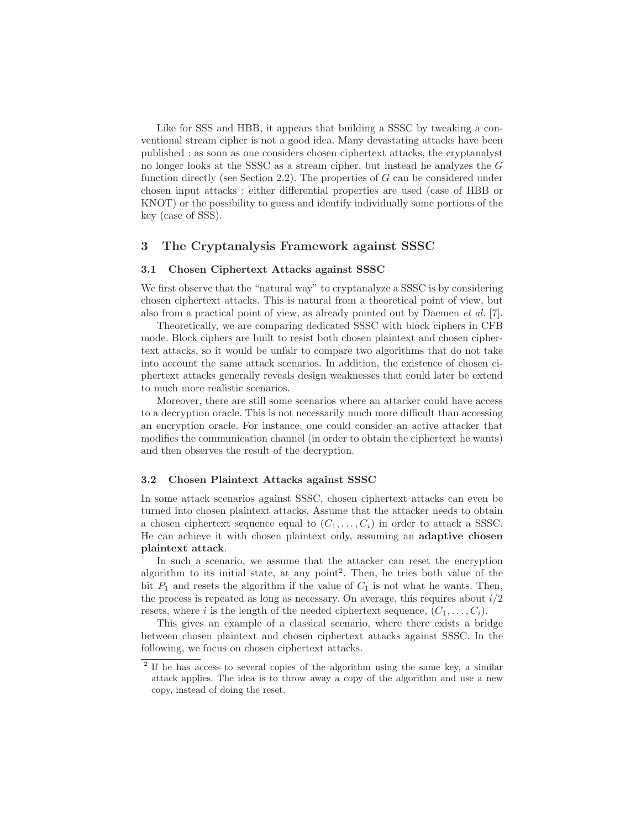Like for SSS and HBB, it appears that building a SSSC by tweaking a conventional stream cipher is not a good idea. Many devastating attacks have been published : as soon as one considers chosen ciphertext attacks, the cryptanalyst no longer looks at the SSSC as a stream cipher, but instead he analyzes the G function directly (see Section 2.2). The properties of  $G$  can be considered under chosen input attacks : either differential properties are used (case of HBB or KNOT) or the possibility to guess and identify individually some portions of the key (case of SSS).

### 3 The Cryptanalysis Framework against SSSC

#### 3.1 Chosen Ciphertext Attacks against SSSC

We first observe that the "natural way" to cryptanalyze a SSSC is by considering chosen ciphertext attacks. This is natural from a theoretical point of view, but also from a practical point of view, as already pointed out by Daemen et al. [7].

Theoretically, we are comparing dedicated SSSC with block ciphers in CFB mode. Block ciphers are built to resist both chosen plaintext and chosen ciphertext attacks, so it would be unfair to compare two algorithms that do not take into account the same attack scenarios. In addition, the existence of chosen ciphertext attacks generally reveals design weaknesses that could later be extend to much more realistic scenarios.

Moreover, there are still some scenarios where an attacker could have access to a decryption oracle. This is not necessarily much more difficult than accessing an encryption oracle. For instance, one could consider an active attacker that modifies the communication channel (in order to obtain the ciphertext he wants) and then observes the result of the decryption.

#### 3.2 Chosen Plaintext Attacks against SSSC

In some attack scenarios against SSSC, chosen ciphertext attacks can even be turned into chosen plaintext attacks. Assume that the attacker needs to obtain a chosen ciphertext sequence equal to  $(C_1, \ldots, C_i)$  in order to attack a SSSC. He can achieve it with chosen plaintext only, assuming an adaptive chosen plaintext attack.

In such a scenario, we assume that the attacker can reset the encryption algorithm to its initial state, at any point<sup>2</sup>. Then, he tries both value of the bit  $P_1$  and resets the algorithm if the value of  $C_1$  is not what he wants. Then, the process is repeated as long as necessary. On average, this requires about  $i/2$ resets, where i is the length of the needed ciphertext sequence,  $(C_1, \ldots, C_i)$ .

This gives an example of a classical scenario, where there exists a bridge between chosen plaintext and chosen ciphertext attacks against SSSC. In the following, we focus on chosen ciphertext attacks.

<sup>&</sup>lt;sup>2</sup> If he has access to several copies of the algorithm using the same key, a similar attack applies. The idea is to throw away a copy of the algorithm and use a new copy, instead of doing the reset.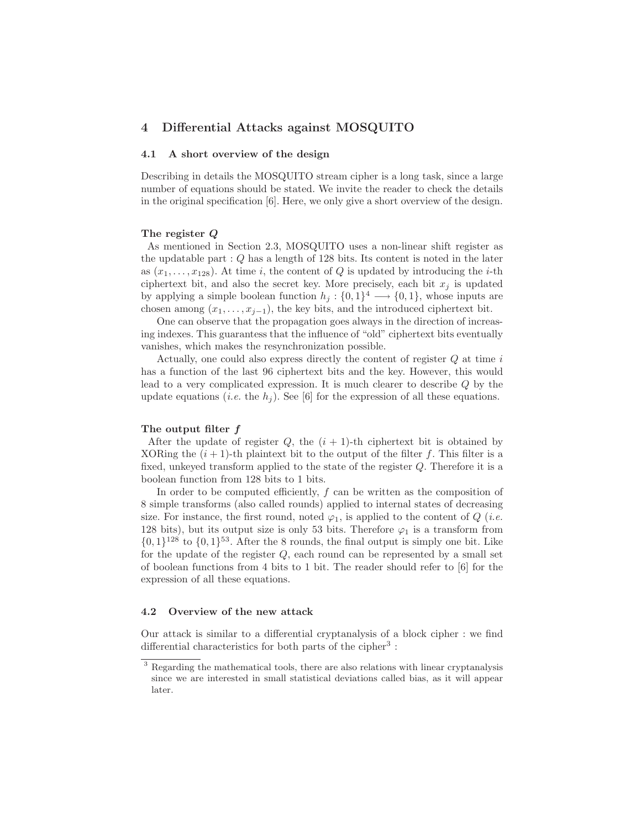### 4 Differential Attacks against MOSQUITO

### 4.1 A short overview of the design

Describing in details the MOSQUITO stream cipher is a long task, since a large number of equations should be stated. We invite the reader to check the details in the original specification [6]. Here, we only give a short overview of the design.

#### The register Q

As mentioned in Section 2.3, MOSQUITO uses a non-linear shift register as the updatable part  $: Q$  has a length of 128 bits. Its content is noted in the later as  $(x_1, \ldots, x_{128})$ . At time i, the content of Q is updated by introducing the i-th ciphertext bit, and also the secret key. More precisely, each bit  $x_i$  is updated by applying a simple boolean function  $h_j : \{0,1\}^4 \longrightarrow \{0,1\}$ , whose inputs are chosen among  $(x_1, \ldots, x_{i-1})$ , the key bits, and the introduced ciphertext bit.

One can observe that the propagation goes always in the direction of increasing indexes. This guarantess that the influence of "old" ciphertext bits eventually vanishes, which makes the resynchronization possible.

Actually, one could also express directly the content of register  $Q$  at time  $i$ has a function of the last 96 ciphertext bits and the key. However, this would lead to a very complicated expression. It is much clearer to describe Q by the update equations (*i.e.* the  $h_i$ ). See [6] for the expression of all these equations.

### The output filter f

After the update of register  $Q$ , the  $(i + 1)$ -th ciphertext bit is obtained by XORing the  $(i + 1)$ -th plaintext bit to the output of the filter f. This filter is a fixed, unkeyed transform applied to the state of the register Q. Therefore it is a boolean function from 128 bits to 1 bits.

In order to be computed efficiently,  $f$  can be written as the composition of 8 simple transforms (also called rounds) applied to internal states of decreasing size. For instance, the first round, noted  $\varphi_1$ , is applied to the content of Q (*i.e.* 128 bits), but its output size is only 53 bits. Therefore  $\varphi_1$  is a transform from  $\{0,1\}^{128}$  to  $\{0,1\}^{53}$ . After the 8 rounds, the final output is simply one bit. Like for the update of the register  $Q$ , each round can be represented by a small set of boolean functions from 4 bits to 1 bit. The reader should refer to [6] for the expression of all these equations.

#### 4.2 Overview of the new attack

Our attack is similar to a differential cryptanalysis of a block cipher : we find differential characteristics for both parts of the cipher<sup>3</sup>:

<sup>&</sup>lt;sup>3</sup> Regarding the mathematical tools, there are also relations with linear cryptanalysis since we are interested in small statistical deviations called bias, as it will appear later.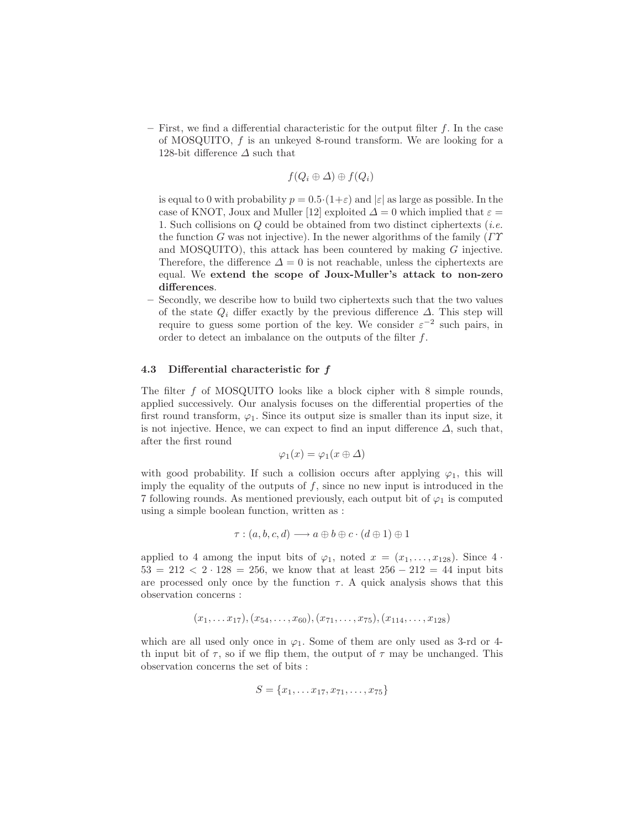$-$  First, we find a differential characteristic for the output filter f. In the case of MOSQUITO, f is an unkeyed 8-round transform. We are looking for a 128-bit difference  $\Delta$  such that

$$
f(Q_i \oplus \Delta) \oplus f(Q_i)
$$

is equal to 0 with probability  $p = 0.5 \cdot (1+\varepsilon)$  and  $|\varepsilon|$  as large as possible. In the case of KNOT, Joux and Muller [12] exploited  $\Delta = 0$  which implied that  $\varepsilon =$ 1. Such collisions on  $Q$  could be obtained from two distinct ciphertexts (*i.e.* the function G was not injective). In the newer algorithms of the family  $(T\Upsilon)$ and MOSQUITO), this attack has been countered by making  $G$  injective. Therefore, the difference  $\Delta = 0$  is not reachable, unless the ciphertexts are equal. We extend the scope of Joux-Muller's attack to non-zero differences.

– Secondly, we describe how to build two ciphertexts such that the two values of the state  $Q_i$  differ exactly by the previous difference  $\Delta$ . This step will require to guess some portion of the key. We consider  $\varepsilon^{-2}$  such pairs, in order to detect an imbalance on the outputs of the filter  $f$ .

### 4.3 Differential characteristic for f

The filter  $f$  of MOSQUITO looks like a block cipher with 8 simple rounds, applied successively. Our analysis focuses on the differential properties of the first round transform,  $\varphi_1$ . Since its output size is smaller than its input size, it is not injective. Hence, we can expect to find an input difference  $\Delta$ , such that, after the first round

$$
\varphi_1(x) = \varphi_1(x \oplus \Delta)
$$

with good probability. If such a collision occurs after applying  $\varphi_1$ , this will imply the equality of the outputs of  $f$ , since no new input is introduced in the 7 following rounds. As mentioned previously, each output bit of  $\varphi_1$  is computed using a simple boolean function, written as :

$$
\tau : (a, b, c, d) \longrightarrow a \oplus b \oplus c \cdot (d \oplus 1) \oplus 1
$$

applied to 4 among the input bits of  $\varphi_1$ , noted  $x = (x_1, \ldots, x_{128})$ . Since  $4 \cdot$  $53 = 212 < 2 \cdot 128 = 256$ , we know that at least  $256 - 212 = 44$  input bits are processed only once by the function  $\tau$ . A quick analysis shows that this observation concerns :

$$
(x_1, \ldots x_{17}), (x_{54}, \ldots, x_{60}), (x_{71}, \ldots, x_{75}), (x_{114}, \ldots, x_{128})
$$

which are all used only once in  $\varphi_1$ . Some of them are only used as 3-rd or 4th input bit of  $\tau$ , so if we flip them, the output of  $\tau$  may be unchanged. This observation concerns the set of bits :

$$
S = \{x_1, \ldots x_{17}, x_{71}, \ldots, x_{75}\}\
$$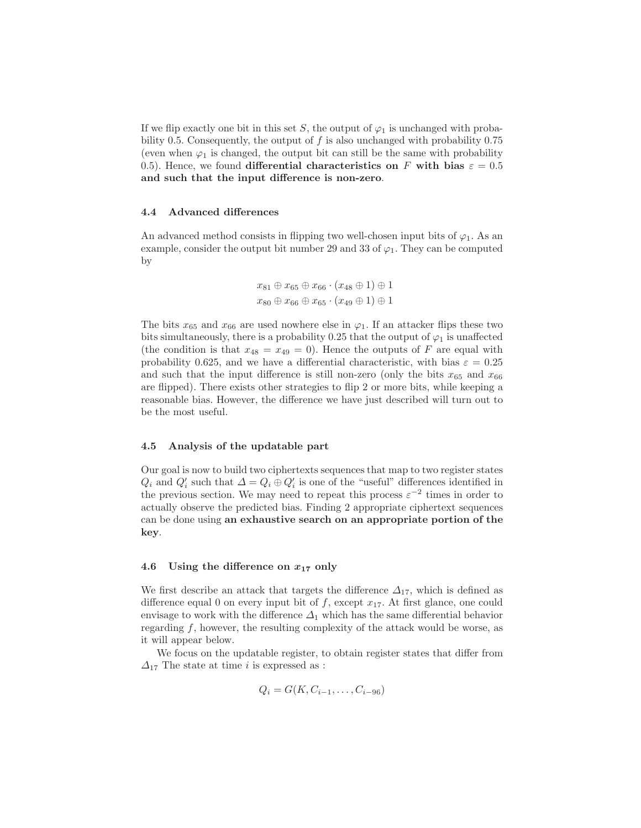If we flip exactly one bit in this set S, the output of  $\varphi_1$  is unchanged with probability 0.5. Consequently, the output of f is also unchanged with probability 0.75 (even when  $\varphi_1$  is changed, the output bit can still be the same with probability 0.5). Hence, we found differential characteristics on F with bias  $\varepsilon = 0.5$ and such that the input difference is non-zero.

### 4.4 Advanced differences

An advanced method consists in flipping two well-chosen input bits of  $\varphi_1$ . As an example, consider the output bit number 29 and 33 of  $\varphi_1$ . They can be computed by

$$
x_{81} \oplus x_{65} \oplus x_{66} \cdot (x_{48} \oplus 1) \oplus 1
$$
  

$$
x_{80} \oplus x_{66} \oplus x_{65} \cdot (x_{49} \oplus 1) \oplus 1
$$

The bits  $x_{65}$  and  $x_{66}$  are used nowhere else in  $\varphi_1$ . If an attacker flips these two bits simultaneously, there is a probability 0.25 that the output of  $\varphi_1$  is unaffected (the condition is that  $x_{48} = x_{49} = 0$ ). Hence the outputs of F are equal with probability 0.625, and we have a differential characteristic, with bias  $\varepsilon = 0.25$ and such that the input difference is still non-zero (only the bits  $x_{65}$  and  $x_{66}$ ) are flipped). There exists other strategies to flip 2 or more bits, while keeping a reasonable bias. However, the difference we have just described will turn out to be the most useful.

#### 4.5 Analysis of the updatable part

Our goal is now to build two ciphertexts sequences that map to two register states  $Q_i$  and  $Q'_i$  such that  $\Delta = Q_i \oplus Q'_i$  is one of the "useful" differences identified in the previous section. We may need to repeat this process  $\varepsilon^{-2}$  times in order to actually observe the predicted bias. Finding 2 appropriate ciphertext sequences can be done using an exhaustive search on an appropriate portion of the key.

#### 4.6 Using the difference on  $x_{17}$  only

We first describe an attack that targets the difference  $\Delta_{17}$ , which is defined as difference equal 0 on every input bit of  $f$ , except  $x_{17}$ . At first glance, one could envisage to work with the difference  $\Delta_1$  which has the same differential behavior regarding  $f$ , however, the resulting complexity of the attack would be worse, as it will appear below.

We focus on the updatable register, to obtain register states that differ from  $\Delta_{17}$  The state at time *i* is expressed as :

$$
Q_i = G(K, C_{i-1}, \dots, C_{i-96})
$$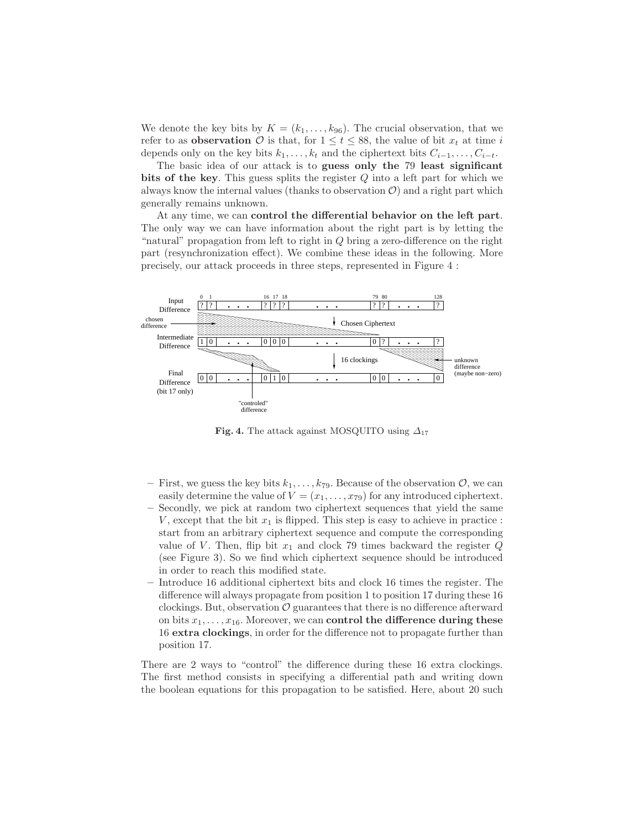We denote the key bits by  $K = (k_1, \ldots, k_{96})$ . The crucial observation, that we refer to as **observation**  $\mathcal{O}$  is that, for  $1 \le t \le 88$ , the value of bit  $x_t$  at time i depends only on the key bits  $k_1, \ldots, k_t$  and the ciphertext bits  $C_{i-1}, \ldots, C_{i-t}$ .

The basic idea of our attack is to guess only the 79 least significant bits of the key. This guess splits the register Q into a left part for which we always know the internal values (thanks to observation  $\mathcal{O}$ ) and a right part which generally remains unknown.

At any time, we can control the differential behavior on the left part. The only way we can have information about the right part is by letting the "natural" propagation from left to right in  $Q$  bring a zero-difference on the right part (resynchronization effect). We combine these ideas in the following. More precisely, our attack proceeds in three steps, represented in Figure 4 :



Fig. 4. The attack against MOSQUITO using  $\Delta_{17}$ 

- First, we guess the key bits  $k_1, \ldots, k_{79}$ . Because of the observation  $\mathcal{O}$ , we can easily determine the value of  $V = (x_1, \ldots, x_{79})$  for any introduced ciphertext.
- Secondly, we pick at random two ciphertext sequences that yield the same V, except that the bit  $x_1$  is flipped. This step is easy to achieve in practice : start from an arbitrary ciphertext sequence and compute the corresponding value of V. Then, flip bit  $x_1$  and clock 79 times backward the register  $Q$ (see Figure 3). So we find which ciphertext sequence should be introduced in order to reach this modified state.
- Introduce 16 additional ciphertext bits and clock 16 times the register. The difference will always propagate from position 1 to position 17 during these 16 clockings. But, observation  $\mathcal{O}$  guarantees that there is no difference afterward on bits  $x_1, \ldots, x_{16}$ . Moreover, we can **control the difference during these** 16 extra clockings, in order for the difference not to propagate further than position 17.

There are 2 ways to "control" the difference during these 16 extra clockings. The first method consists in specifying a differential path and writing down the boolean equations for this propagation to be satisfied. Here, about 20 such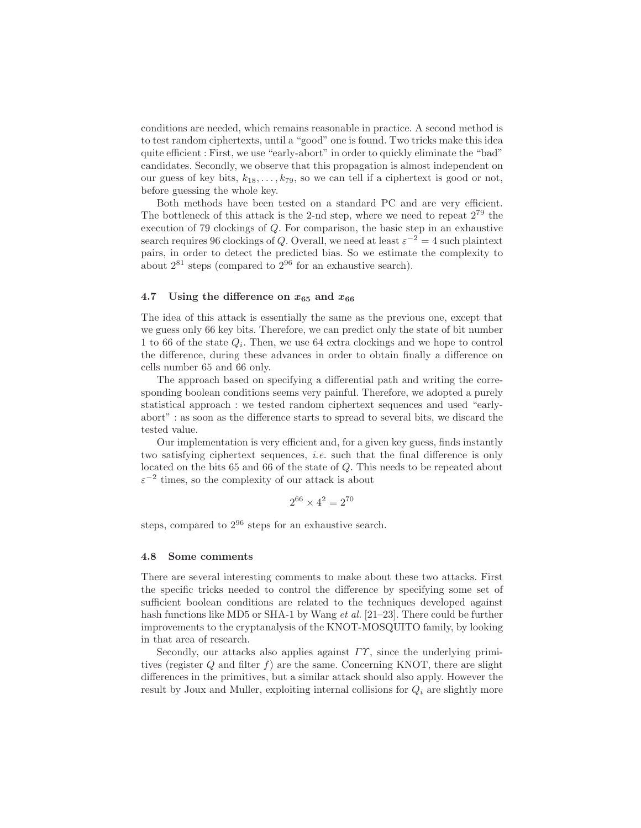conditions are needed, which remains reasonable in practice. A second method is to test random ciphertexts, until a "good" one is found. Two tricks make this idea quite efficient : First, we use "early-abort" in order to quickly eliminate the "bad" candidates. Secondly, we observe that this propagation is almost independent on our guess of key bits,  $k_{18}, \ldots, k_{79}$ , so we can tell if a ciphertext is good or not, before guessing the whole key.

Both methods have been tested on a standard PC and are very efficient. The bottleneck of this attack is the 2-nd step, where we need to repeat  $2^{79}$  the execution of 79 clockings of Q. For comparison, the basic step in an exhaustive search requires 96 clockings of Q. Overall, we need at least  $\varepsilon^{-2} = 4$  such plaintext pairs, in order to detect the predicted bias. So we estimate the complexity to about  $2^{81}$  steps (compared to  $2^{96}$  for an exhaustive search).

#### 4.7 Using the difference on  $x_{65}$  and  $x_{66}$

The idea of this attack is essentially the same as the previous one, except that we guess only 66 key bits. Therefore, we can predict only the state of bit number 1 to 66 of the state  $Q_i$ . Then, we use 64 extra clockings and we hope to control the difference, during these advances in order to obtain finally a difference on cells number 65 and 66 only.

The approach based on specifying a differential path and writing the corresponding boolean conditions seems very painful. Therefore, we adopted a purely statistical approach : we tested random ciphertext sequences and used "earlyabort" : as soon as the difference starts to spread to several bits, we discard the tested value.

Our implementation is very efficient and, for a given key guess, finds instantly two satisfying ciphertext sequences, i.e. such that the final difference is only located on the bits 65 and 66 of the state of Q. This needs to be repeated about  $\varepsilon^{-2}$  times, so the complexity of our attack is about

 $2^{66} \times 4^2 = 2^{70}$ 

steps, compared to  $2^{96}$  steps for an exhaustive search.

#### 4.8 Some comments

There are several interesting comments to make about these two attacks. First the specific tricks needed to control the difference by specifying some set of sufficient boolean conditions are related to the techniques developed against hash functions like MD5 or SHA-1 by Wang *et al.* [21–23]. There could be further improvements to the cryptanalysis of the KNOT-MOSQUITO family, by looking in that area of research.

Secondly, our attacks also applies against  $\Gamma \Upsilon$ , since the underlying primitives (register  $Q$  and filter f) are the same. Concerning KNOT, there are slight differences in the primitives, but a similar attack should also apply. However the result by Joux and Muller, exploiting internal collisions for  $Q_i$  are slightly more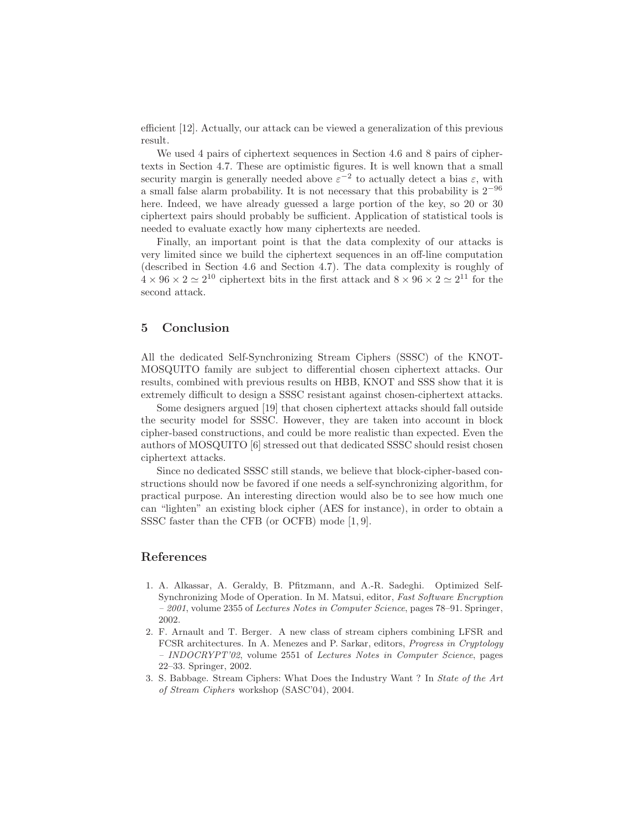efficient [12]. Actually, our attack can be viewed a generalization of this previous result.

We used 4 pairs of ciphertext sequences in Section 4.6 and 8 pairs of ciphertexts in Section 4.7. These are optimistic figures. It is well known that a small security margin is generally needed above  $\varepsilon^{-2}$  to actually detect a bias  $\varepsilon$ , with a small false alarm probability. It is not necessary that this probability is  $2^{-96}$ here. Indeed, we have already guessed a large portion of the key, so 20 or 30 ciphertext pairs should probably be sufficient. Application of statistical tools is needed to evaluate exactly how many ciphertexts are needed.

Finally, an important point is that the data complexity of our attacks is very limited since we build the ciphertext sequences in an off-line computation (described in Section 4.6 and Section 4.7). The data complexity is roughly of  $4 \times 96 \times 2 \simeq 2^{10}$  ciphertext bits in the first attack and  $8 \times 96 \times 2 \simeq 2^{11}$  for the second attack.

# 5 Conclusion

All the dedicated Self-Synchronizing Stream Ciphers (SSSC) of the KNOT-MOSQUITO family are subject to differential chosen ciphertext attacks. Our results, combined with previous results on HBB, KNOT and SSS show that it is extremely difficult to design a SSSC resistant against chosen-ciphertext attacks.

Some designers argued [19] that chosen ciphertext attacks should fall outside the security model for SSSC. However, they are taken into account in block cipher-based constructions, and could be more realistic than expected. Even the authors of MOSQUITO [6] stressed out that dedicated SSSC should resist chosen ciphertext attacks.

Since no dedicated SSSC still stands, we believe that block-cipher-based constructions should now be favored if one needs a self-synchronizing algorithm, for practical purpose. An interesting direction would also be to see how much one can "lighten" an existing block cipher (AES for instance), in order to obtain a SSSC faster than the CFB (or OCFB) mode [1, 9].

# References

- 1. A. Alkassar, A. Geraldy, B. Pfitzmann, and A.-R. Sadeghi. Optimized Self-Synchronizing Mode of Operation. In M. Matsui, editor, Fast Software Encryption  $-2001$ , volume 2355 of Lectures Notes in Computer Science, pages 78–91. Springer, 2002.
- 2. F. Arnault and T. Berger. A new class of stream ciphers combining LFSR and FCSR architectures. In A. Menezes and P. Sarkar, editors, Progress in Cryptology – INDOCRYPT'02, volume 2551 of Lectures Notes in Computer Science, pages 22–33. Springer, 2002.
- 3. S. Babbage. Stream Ciphers: What Does the Industry Want ? In State of the Art of Stream Ciphers workshop (SASC'04), 2004.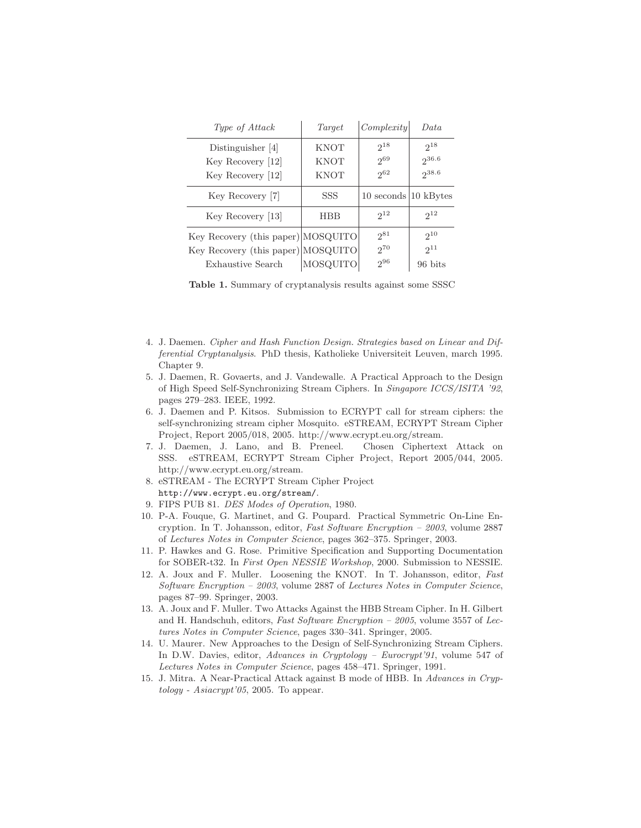| Type of Attack                                                                                | Target                             | Complexity                  | Data                                 |
|-----------------------------------------------------------------------------------------------|------------------------------------|-----------------------------|--------------------------------------|
| Distinguisher [4]<br>Key Recovery [12]<br>Key Recovery [12]                                   | KNOT<br><b>KNOT</b><br><b>KNOT</b> | $2^{18}$<br>269<br>$2^{62}$ | $2^{18}$<br>$2^{36.6}$<br>$2^{38.6}$ |
| Key Recovery [7]                                                                              | SSS                                | 10 seconds 10 kBytes        |                                      |
| Key Recovery [13]                                                                             | HBB                                | $2^{12}$                    | $2^{12}$                             |
| Key Recovery (this paper) MOSQUITO<br>Key Recovery (this paper) MOSQUITO<br>Exhaustive Search | MOSQUITO                           | $2^{81}$<br>270<br>296      | $2^{10}$<br>$2^{11}$<br>96 bits      |

Table 1. Summary of cryptanalysis results against some SSSC

- 4. J. Daemen. Cipher and Hash Function Design. Strategies based on Linear and Differential Cryptanalysis. PhD thesis, Katholieke Universiteit Leuven, march 1995. Chapter 9.
- 5. J. Daemen, R. Govaerts, and J. Vandewalle. A Practical Approach to the Design of High Speed Self-Synchronizing Stream Ciphers. In Singapore ICCS/ISITA '92, pages 279–283. IEEE, 1992.
- 6. J. Daemen and P. Kitsos. Submission to ECRYPT call for stream ciphers: the self-synchronizing stream cipher Mosquito. eSTREAM, ECRYPT Stream Cipher Project, Report 2005/018, 2005. http://www.ecrypt.eu.org/stream.
- 7. J. Daemen, J. Lano, and B. Preneel. Chosen Ciphertext Attack on SSS. eSTREAM, ECRYPT Stream Cipher Project, Report 2005/044, 2005. http://www.ecrypt.eu.org/stream.
- 8. eSTREAM The ECRYPT Stream Cipher Project http://www.ecrypt.eu.org/stream/.
- 9. FIPS PUB 81. DES Modes of Operation, 1980.
- 10. P-A. Fouque, G. Martinet, and G. Poupard. Practical Symmetric On-Line Encryption. In T. Johansson, editor, Fast Software Encryption – 2003, volume 2887 of Lectures Notes in Computer Science, pages 362–375. Springer, 2003.
- 11. P. Hawkes and G. Rose. Primitive Specification and Supporting Documentation for SOBER-t32. In First Open NESSIE Workshop, 2000. Submission to NESSIE.
- 12. A. Joux and F. Muller. Loosening the KNOT. In T. Johansson, editor, Fast Software Encryption – 2003, volume 2887 of Lectures Notes in Computer Science, pages 87–99. Springer, 2003.
- 13. A. Joux and F. Muller. Two Attacks Against the HBB Stream Cipher. In H. Gilbert and H. Handschuh, editors, Fast Software Encryption – 2005, volume 3557 of Lectures Notes in Computer Science, pages 330–341. Springer, 2005.
- 14. U. Maurer. New Approaches to the Design of Self-Synchronizing Stream Ciphers. In D.W. Davies, editor, Advances in Cryptology – Eurocrypt'91, volume 547 of Lectures Notes in Computer Science, pages 458–471. Springer, 1991.
- 15. J. Mitra. A Near-Practical Attack against B mode of HBB. In Advances in Cryptology - Asiacrypt'05, 2005. To appear.